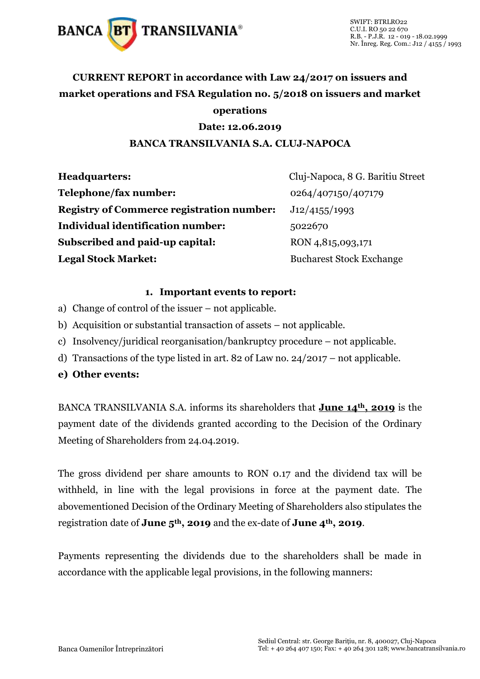

## **CURRENT REPORT in accordance with Law 24/2017 on issuers and market operations and FSA Regulation no. 5/2018 on issuers and market operations**

#### **Date: 12.06.2019**

#### **BANCA TRANSILVANIA S.A. CLUJ-NAPOCA**

| <b>Headquarters:</b>                             | Cluj-Napoca, 8 G. Baritiu Street |
|--------------------------------------------------|----------------------------------|
| Telephone/fax number:                            | 0264/407150/407179               |
| <b>Registry of Commerce registration number:</b> | J12/4155/1993                    |
| Individual identification number:                | 5022670                          |
| Subscribed and paid-up capital:                  | RON 4,815,093,171                |
| <b>Legal Stock Market:</b>                       | <b>Bucharest Stock Exchange</b>  |

#### **1. Important events to report:**

- a) Change of control of the issuer not applicable.
- b) Acquisition or substantial transaction of assets not applicable.
- c) Insolvency/juridical reorganisation/bankruptcy procedure not applicable.
- d) Transactions of the type listed in art. 82 of Law no. 24/2017 not applicable.
- **e) Other events:**

BANCA TRANSILVANIA S.A. informs its shareholders that **June 14th, 2019** is the payment date of the dividends granted according to the Decision of the Ordinary Meeting of Shareholders from 24.04.2019.

The gross dividend per share amounts to RON 0.17 and the dividend tax will be withheld, in line with the legal provisions in force at the payment date. The abovementioned Decision of the Ordinary Meeting of Shareholders also stipulates the registration date of **June 5th, 2019** and the ex-date of **June 4th, 2019**.

Payments representing the dividends due to the shareholders shall be made in accordance with the applicable legal provisions, in the following manners: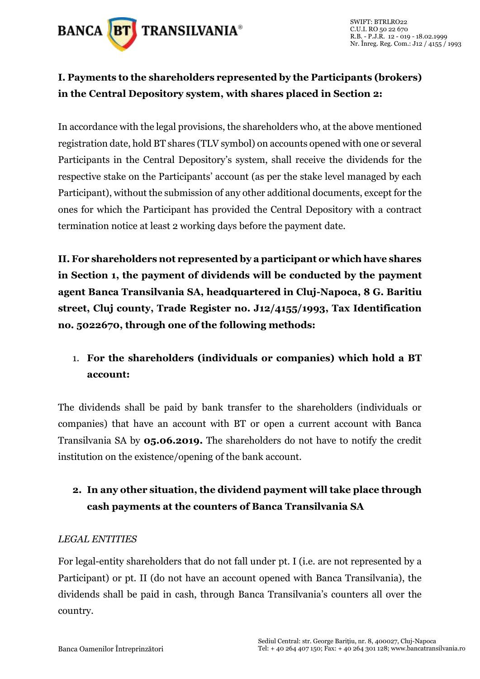

## **I. Payments to the shareholders represented by the Participants (brokers) in the Central Depository system, with shares placed in Section 2:**

In accordance with the legal provisions, the shareholders who, at the above mentioned registration date, hold BT shares (TLV symbol) on accounts opened with one or several Participants in the Central Depository's system, shall receive the dividends for the respective stake on the Participants' account (as per the stake level managed by each Participant), without the submission of any other additional documents, except for the ones for which the Participant has provided the Central Depository with a contract termination notice at least 2 working days before the payment date.

**II. For shareholders not represented by a participant or which have shares in Section 1, the payment of dividends will be conducted by the payment agent Banca Transilvania SA, headquartered in Cluj-Napoca, 8 G. Baritiu street, Cluj county, Trade Register no. J12/4155/1993, Tax Identification no. 5022670, through one of the following methods:** 

## 1. **For the shareholders (individuals or companies) which hold a BT account:**

The dividends shall be paid by bank transfer to the shareholders (individuals or companies) that have an account with BT or open a current account with Banca Transilvania SA by **05.06.2019.** The shareholders do not have to notify the credit institution on the existence/opening of the bank account.

## **2. In any other situation, the dividend payment will take place through cash payments at the counters of Banca Transilvania SA**

### *LEGAL ENTITIES*

For legal-entity shareholders that do not fall under pt. I (i.e. are not represented by a Participant) or pt. II (do not have an account opened with Banca Transilvania), the dividends shall be paid in cash, through Banca Transilvania's counters all over the country.